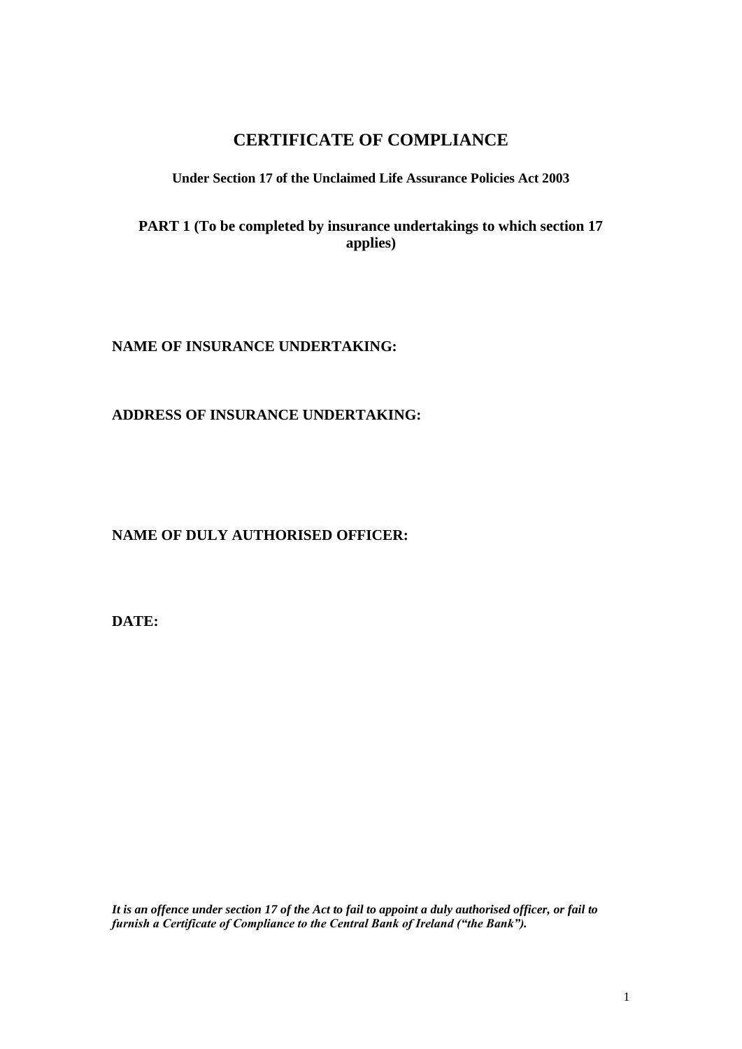# **CERTIFICATE OF COMPLIANCE**

### **Under Section 17 of the Unclaimed Life Assurance Policies Act 2003**

**PART 1 (To be completed by insurance undertakings to which section 17 applies)**

**NAME OF INSURANCE UNDERTAKING:**

**ADDRESS OF INSURANCE UNDERTAKING:**

**NAME OF DULY AUTHORISED OFFICER:**

**DATE:**

*It is an offence under section 17 of the Act to fail to appoint a duly authorised officer, or fail to furnish a Certificate of Compliance to the Central Bank of Ireland ("the Bank").*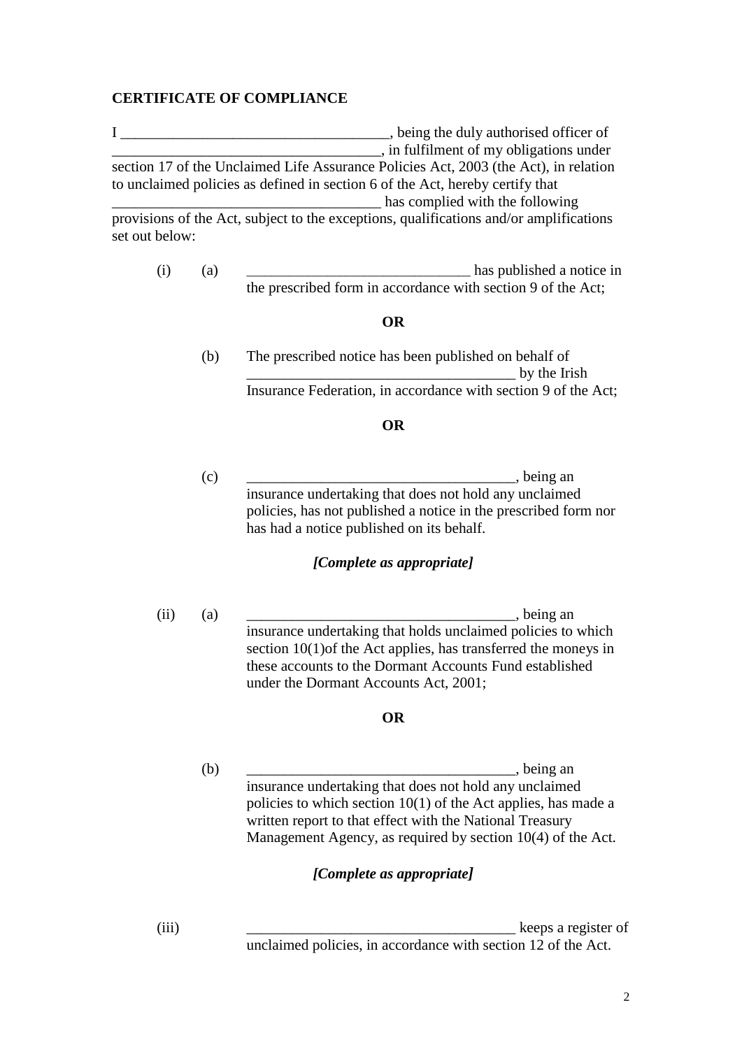## **CERTIFICATE OF COMPLIANCE**

I \_\_\_\_\_\_\_\_\_\_\_\_\_\_\_\_\_\_\_\_\_\_\_\_\_\_\_\_\_\_\_\_\_\_, being the duly authorised officer of \_\_\_\_\_\_\_\_\_\_\_\_\_\_\_\_\_\_\_\_\_\_\_\_\_\_\_\_\_\_\_\_\_\_\_\_, in fulfilment of my obligations under section 17 of the Unclaimed Life Assurance Policies Act, 2003 (the Act), in relation to unclaimed policies as defined in section 6 of the Act, hereby certify that \_\_\_\_\_\_\_\_\_\_\_\_\_\_\_\_\_\_\_\_\_\_\_\_\_\_\_\_\_\_\_\_\_\_\_\_ has complied with the following provisions of the Act, subject to the exceptions, qualifications and/or amplifications

set out below:

(i) (a) has published a notice in the prescribed form in accordance with section 9 of the Act;

#### **OR**

(b) The prescribed notice has been published on behalf of  $\mathbf{b}$  by the Irish Insurance Federation, in accordance with section 9 of the Act;

### **OR**

 $(c)$ , being an insurance undertaking that does not hold any unclaimed policies, has not published a notice in the prescribed form nor has had a notice published on its behalf.

### *[Complete as appropriate]*

 $(ii)$  (a) eing an insurance undertaking that holds unclaimed policies to which section 10(1)of the Act applies, has transferred the moneys in these accounts to the Dormant Accounts Fund established under the Dormant Accounts Act, 2001;

## **OR**

(b) \_\_\_\_\_\_\_\_\_\_\_\_\_\_\_\_\_\_\_\_\_\_\_\_\_\_\_\_\_\_\_\_\_\_\_\_, being an insurance undertaking that does not hold any unclaimed policies to which section 10(1) of the Act applies, has made a written report to that effect with the National Treasury Management Agency, as required by section 10(4) of the Act.

#### *[Complete as appropriate]*

(iii)  $\qquad \qquad$  keeps a register of unclaimed policies, in accordance with section 12 of the Act.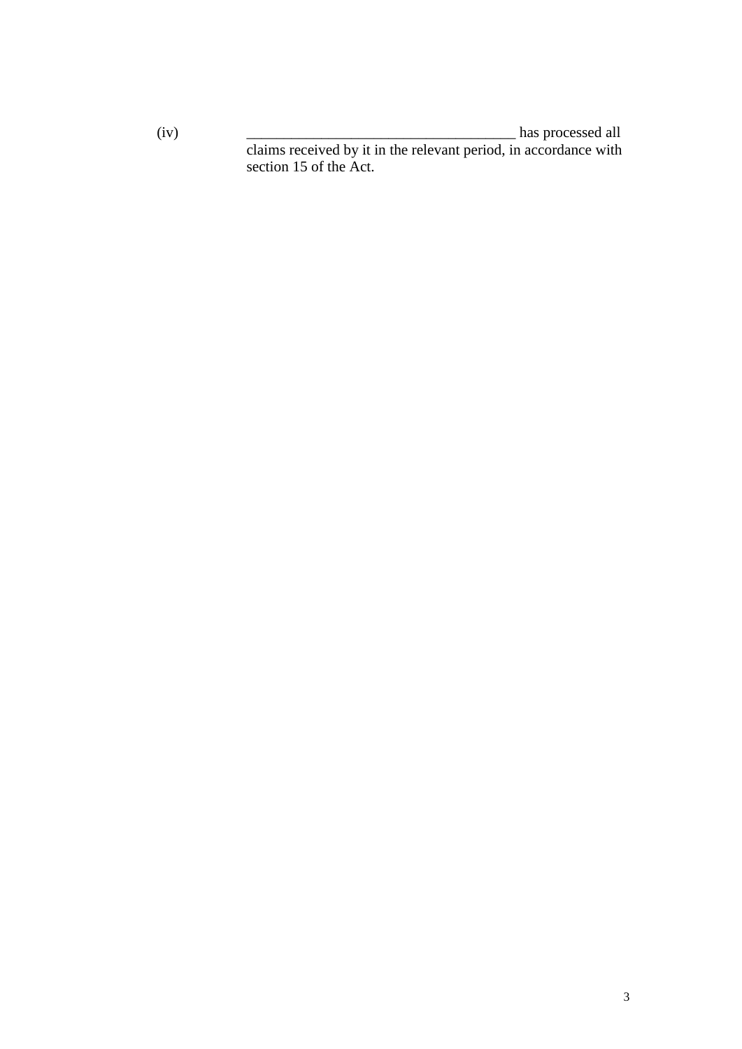$(iv)$   $\qquad \qquad$  has processed all

claims received by it in the relevant period, in accordance with section 15 of the Act.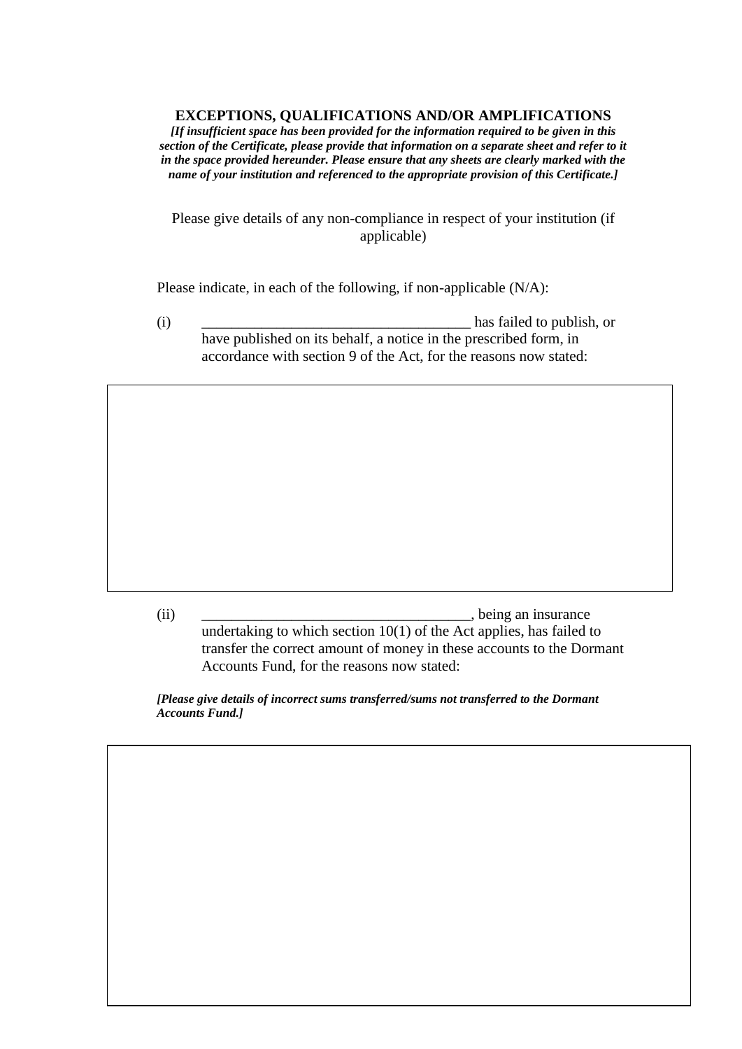#### **EXCEPTIONS, QUALIFICATIONS AND/OR AMPLIFICATIONS**

*[If insufficient space has been provided for the information required to be given in this section of the Certificate, please provide that information on a separate sheet and refer to it in the space provided hereunder. Please ensure that any sheets are clearly marked with the name of your institution and referenced to the appropriate provision of this Certificate.]*

Please give details of any non-compliance in respect of your institution (if applicable)

Please indicate, in each of the following, if non-applicable (N/A):

(i) and the contract of the contract of the contract of the contract of the contract of the contract of the contract of the contract of the contract of the contract of the contract of the contract of the contract of the co have published on its behalf, a notice in the prescribed form, in accordance with section 9 of the Act, for the reasons now stated:

(ii) being an insurance undertaking to which section 10(1) of the Act applies, has failed to transfer the correct amount of money in these accounts to the Dormant Accounts Fund, for the reasons now stated:

*[Please give details of incorrect sums transferred/sums not transferred to the Dormant Accounts Fund.]*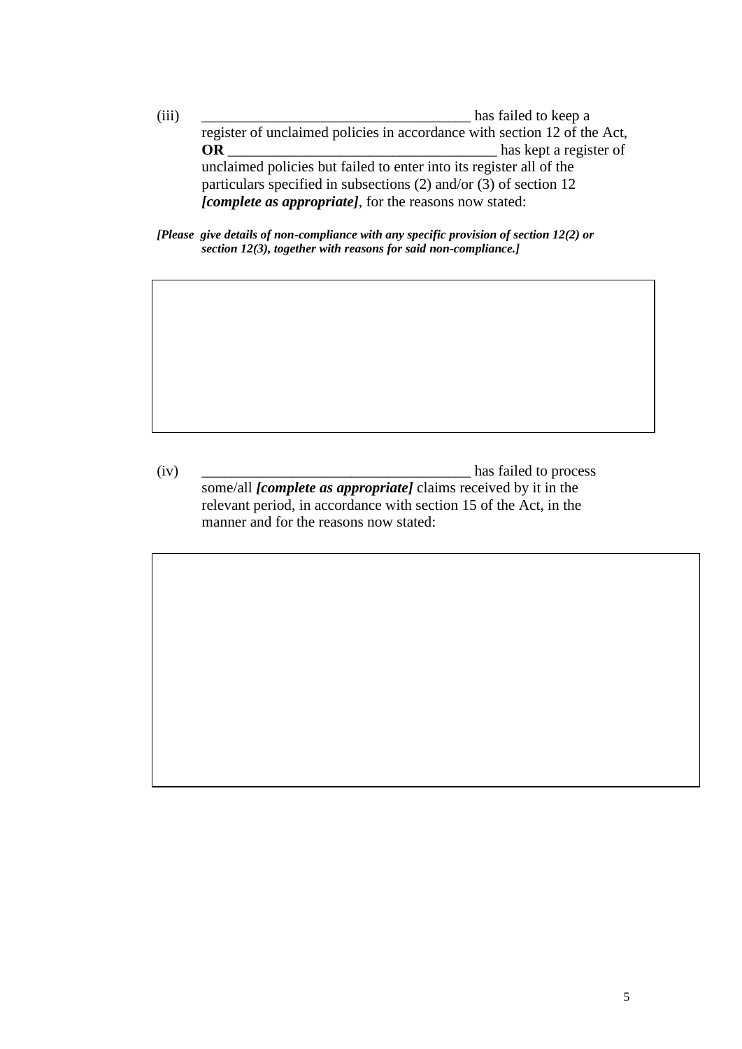(iii) \_\_\_\_\_\_\_\_\_\_\_\_\_\_\_\_\_\_\_\_\_\_\_\_\_\_\_\_\_\_\_\_\_\_\_\_ has failed to keep a register of unclaimed policies in accordance with section 12 of the Act, **OR** \_\_\_\_\_\_\_\_\_\_\_\_\_\_\_\_\_\_\_\_\_\_\_\_\_\_\_\_\_\_\_\_\_\_\_\_ has kept a register of unclaimed policies but failed to enter into its register all of the particulars specified in subsections (2) and/or (3) of section 12 *[complete as appropriate]*, for the reasons now stated:

*[Please give details of non-compliance with any specific provision of section 12(2) or section 12(3), together with reasons for said non-compliance.]*

(iv) \_\_\_\_\_\_\_\_\_\_\_\_\_\_\_\_\_\_\_\_\_\_\_\_\_\_\_\_\_\_\_\_\_\_\_\_ has failed to process some/all *[complete as appropriate]* claims received by it in the relevant period, in accordance with section 15 of the Act, in the manner and for the reasons now stated: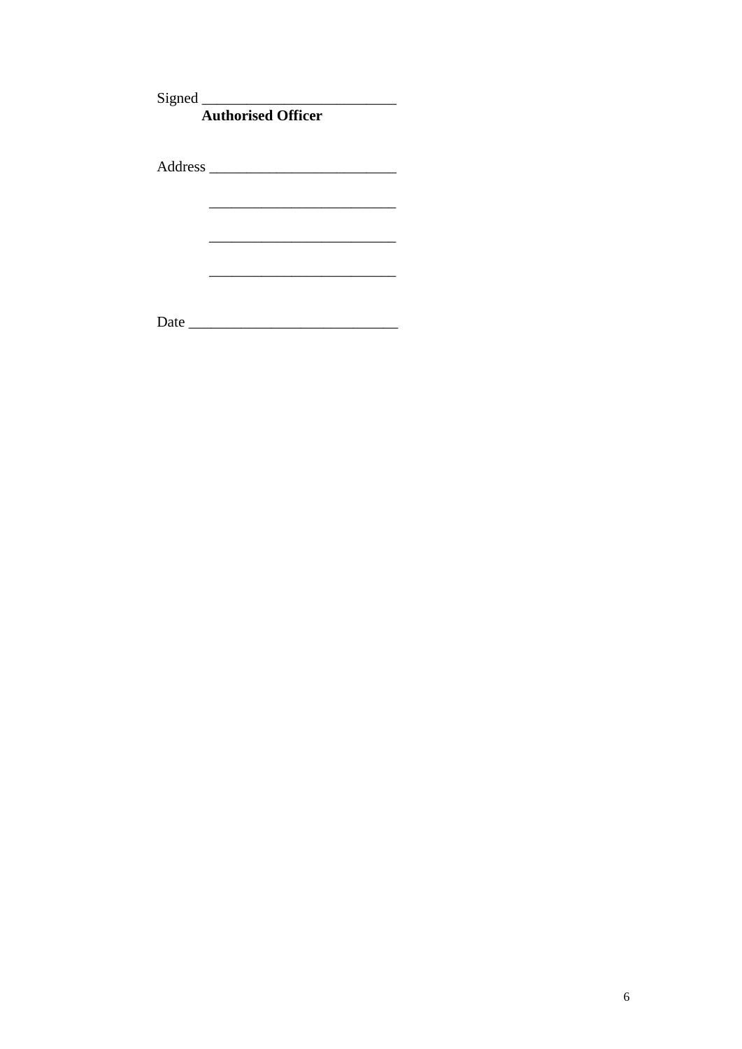Signed Authorised Officer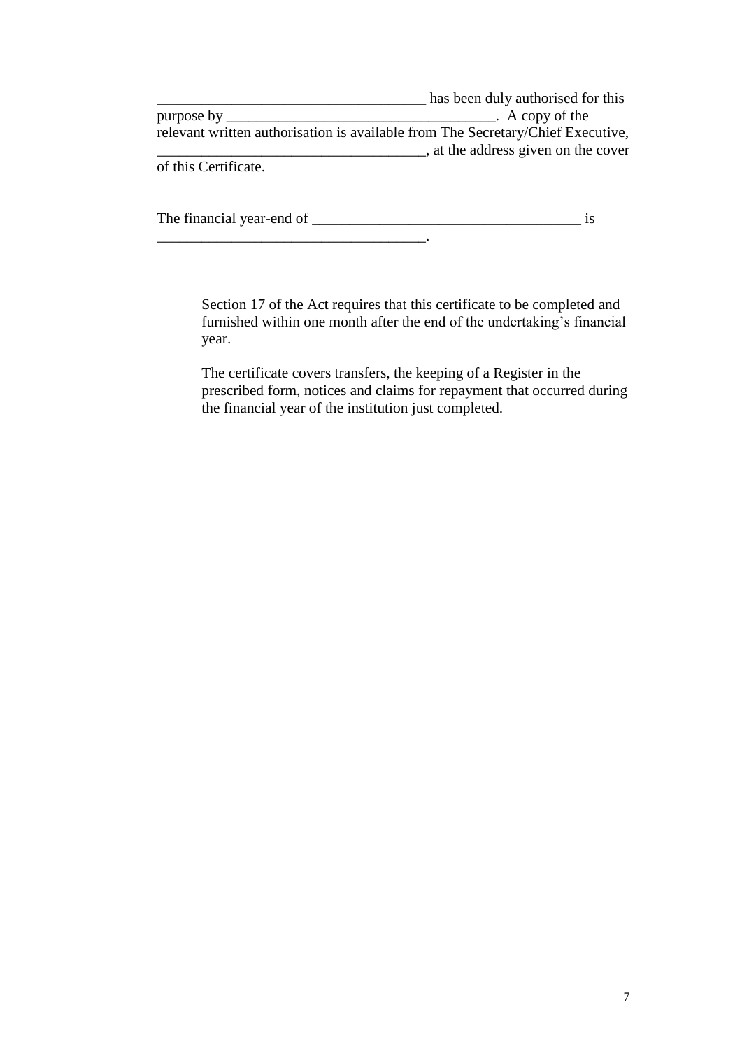|                      | has been duly authorised for this                                               |
|----------------------|---------------------------------------------------------------------------------|
| purpose by           | $\Delta$ A copy of the                                                          |
|                      | relevant written authorisation is available from The Secretary/Chief Executive, |
|                      | , at the address given on the cover                                             |
| of this Certificate. |                                                                                 |

The financial year-end of \_\_\_\_\_\_\_\_\_\_\_\_\_\_\_\_\_\_\_\_\_\_\_\_\_\_\_\_\_\_\_\_\_\_\_\_ is

\_\_\_\_\_\_\_\_\_\_\_\_\_\_\_\_\_\_\_\_\_\_\_\_\_\_\_\_\_\_\_\_\_\_\_\_.

Section 17 of the Act requires that this certificate to be completed and furnished within one month after the end of the undertaking's financial year.

The certificate covers transfers, the keeping of a Register in the prescribed form, notices and claims for repayment that occurred during the financial year of the institution just completed.